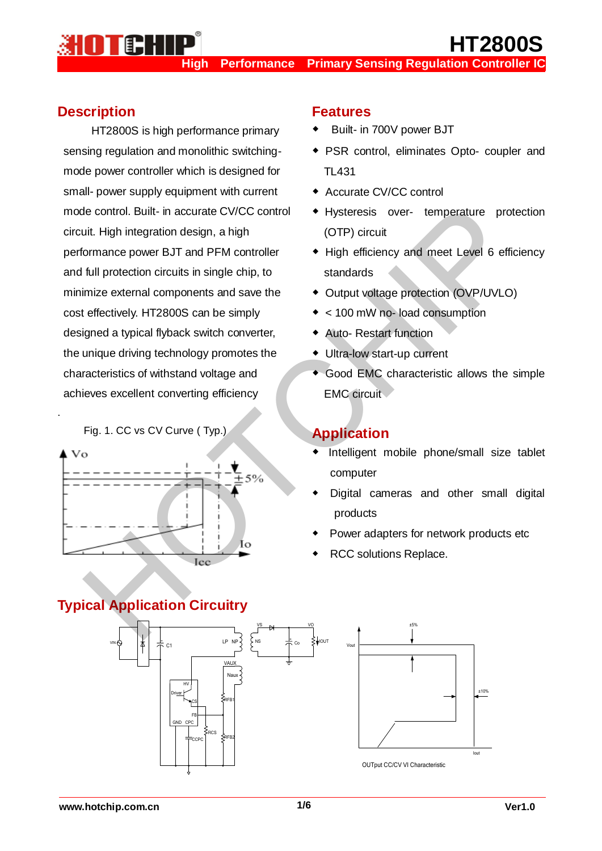# **HT2800**

**High Performance Primary Sensing Regulation Controller IC**

#### **Description**

TAK

.

HT2800S is high performance primary sensing regulation and monolithic switchingmode power controller which is designed for small- power supply equipment with current mode control. Built- in accurate CV/CC control circuit. High integration design, a high performance power BJT and PFM controller and full protection circuits in single chip, to minimize external components and save the cost effectively. HT2800S can be simply designed a typical flyback switch converter, the unique driving technology promotes the characteristics of withstand voltage and achieves excellent converting efficiency the control. Built- in accurate CV/CC control <br>
int. High integration design, a high<br>
corresponse to the protocontrol of the standards<br>
full protection circuits in single chip, to<br>
full protection circuits in single chip,

Fig. 1. CC vs CV Curve ( Typ.)



#### **Features**

- Built- in 700V power BJT
- ◆ PSR control, eliminates Opto- coupler and TL431
- ◆ Accurate CV/CC control
- ◆ Hysteresis over- temperature protection (OTP) circuit
- ◆ High efficiency and meet Level 6 efficiency standards
- ◆ Output voltage protection (OVP/UVLO)
- ◆ < 100 mW no- load consumption
- ◆ Auto- Restart function
- ◆ Ultra-low start-up current
- ◆ Good EMC characteristic allows the simple EMC circuit

### **Application**

- Intelligent mobile phone/small size tablet computer
- Digital cameras and other small digital products
- Power adapters for network products etc
- RCC solutions Replace.

#### **Typical Application Circuitry** vino? |本| <del>よ</del>c1 LP NP VAUX Naux RFB1 RCS<br>RFB2 RFB2 HV Driver CS FB GND CPC NS VS Co VO  $\begin{array}{c|c}\n\text{1.50}\n\end{array}$ ±10% Iout OUTput CC/CV VI Characteristic +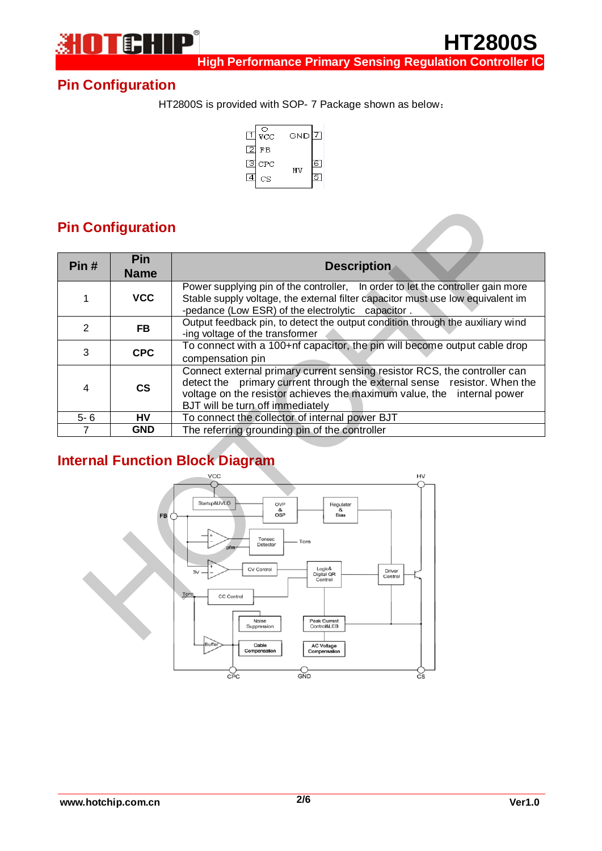

 **High Performance Primary Sensing Regulation Controller IC**

**HT2800S**

## **Pin Configuration**

HT2800S is provided with SOP- 7 Package shown as below:



# **Pin Configuration**

|                | Pin         |                                                                                                                                                                                                                                                                     |  |  |  |
|----------------|-------------|---------------------------------------------------------------------------------------------------------------------------------------------------------------------------------------------------------------------------------------------------------------------|--|--|--|
| Pin#           | <b>Name</b> | <b>Description</b>                                                                                                                                                                                                                                                  |  |  |  |
| 1              | <b>VCC</b>  | Power supplying pin of the controller, In order to let the controller gain more<br>Stable supply voltage, the external filter capacitor must use low equivalent im<br>-pedance (Low ESR) of the electrolytic capacitor.                                             |  |  |  |
| 2              | <b>FB</b>   | Output feedback pin, to detect the output condition through the auxiliary wind<br>-ing voltage of the transformer                                                                                                                                                   |  |  |  |
| 3              | <b>CPC</b>  | To connect with a 100+nf capacitor, the pin will become output cable drop<br>compensation pin                                                                                                                                                                       |  |  |  |
| 4              | <b>CS</b>   | Connect external primary current sensing resistor RCS, the controller can<br>detect the primary current through the external sense resistor. When the<br>voltage on the resistor achieves the maximum value, the internal power<br>BJT will be turn off immediately |  |  |  |
| $5 - 6$        | <b>HV</b>   | To connect the collector of internal power BJT                                                                                                                                                                                                                      |  |  |  |
| $\overline{7}$ | <b>GND</b>  | The referring grounding pin of the controller                                                                                                                                                                                                                       |  |  |  |
|                |             | <b>Internal Function Block Diagram</b><br>HV                                                                                                                                                                                                                        |  |  |  |
|                | <b>FB</b>   | Startup&UVLO<br>OVP<br>Regulator<br>&<br>&<br>OSP<br><b>Bias</b><br>Tonsec<br>Tons<br>Detector<br>nifre<br><b>CV Control</b><br>Logic&<br>Driver<br>Digital OR<br>Control<br>Control                                                                                |  |  |  |

# **Internal Function Block Diagram**

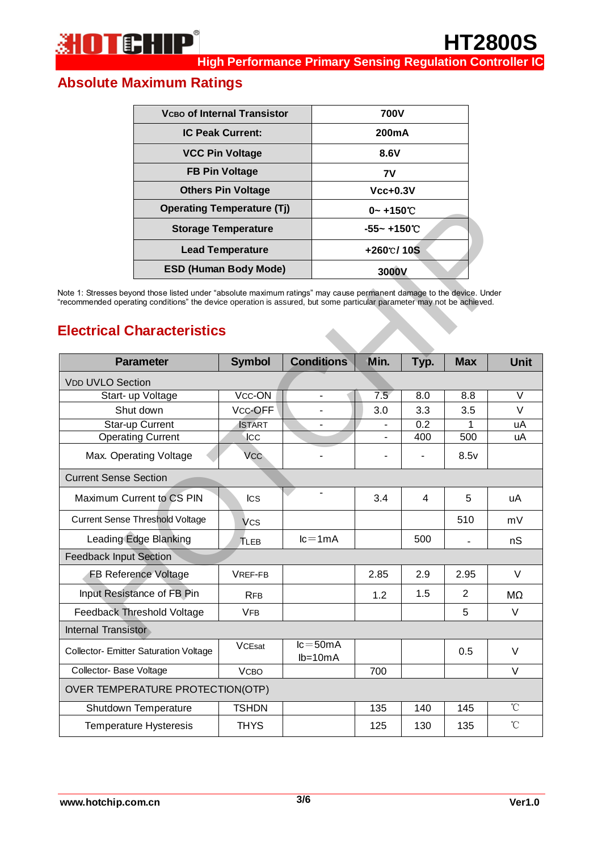**High Performance Primary Sensing Regulation Controller IC**

**HT2800S**

# **Absolute Maximum Ratings**

| V <sub>CBO</sub> of Internal Transistor | 700V               |
|-----------------------------------------|--------------------|
| <b>IC Peak Current:</b>                 | 200mA              |
| <b>VCC Pin Voltage</b>                  | 8.6V               |
| <b>FB Pin Voltage</b>                   | 7V                 |
| <b>Others Pin Voltage</b>               | $Vcc+0.3V$         |
| <b>Operating Temperature (Tj)</b>       | $0 - +150^{\circ}$ |
| <b>Storage Temperature</b>              | -55~ +150℃         |
| <b>Lead Temperature</b>                 | $+260$ C/10S       |
| <b>ESD (Human Body Mode)</b>            | 3000V              |

# **Electrical Characteristics**

|                                                                                                                        | <b>Operating Temperature (Tj)</b><br><b>Storage Temperature</b> |                            |                          | $0 - +150^{\circ}$ C<br>$-55 - +150^{\circ}$ C |                |                   |  |  |
|------------------------------------------------------------------------------------------------------------------------|-----------------------------------------------------------------|----------------------------|--------------------------|------------------------------------------------|----------------|-------------------|--|--|
|                                                                                                                        |                                                                 |                            |                          |                                                |                |                   |  |  |
|                                                                                                                        | <b>Lead Temperature</b>                                         |                            |                          |                                                | $+260$ $C/10S$ |                   |  |  |
|                                                                                                                        | <b>ESD (Human Body Mode)</b>                                    |                            |                          | 3000V                                          |                |                   |  |  |
| Note 1: Stresses beyond those listed under "absolute maximum ratings" may cause permanent damage to the device. Under  |                                                                 |                            |                          |                                                |                |                   |  |  |
| "recommended operating conditions" the device operation is assured, but some particular parameter may not be achieved. |                                                                 |                            |                          |                                                |                |                   |  |  |
|                                                                                                                        |                                                                 |                            |                          |                                                |                |                   |  |  |
| <b>Electrical Characteristics</b>                                                                                      |                                                                 |                            |                          |                                                |                |                   |  |  |
| <b>Parameter</b>                                                                                                       | <b>Symbol</b>                                                   | <b>Conditions</b>          | Min.                     | Typ.                                           | <b>Max</b>     | <b>Unit</b>       |  |  |
| <b>VDD UVLO Section</b>                                                                                                |                                                                 |                            |                          |                                                |                |                   |  |  |
| Start- up Voltage                                                                                                      | Vcc-ON                                                          | $\overline{\phantom{a}}$   | 7.5                      | 8.0                                            | 8.8            | V                 |  |  |
| Shut down                                                                                                              | Vcc-OFF                                                         |                            | 3.0                      | 3.3                                            | 3.5            | $\vee$            |  |  |
| Star-up Current                                                                                                        | <b>ISTART</b>                                                   |                            |                          | 0.2                                            | 1              | uA                |  |  |
| <b>Operating Current</b>                                                                                               | ICC                                                             |                            | $\overline{\phantom{a}}$ | 400                                            | 500            | uA                |  |  |
| Max. Operating Voltage                                                                                                 | Vcc                                                             |                            |                          |                                                | 8.5v           |                   |  |  |
| <b>Current Sense Section</b>                                                                                           |                                                                 |                            |                          |                                                |                |                   |  |  |
| Maximum Current to CS PIN                                                                                              | <b>ICS</b>                                                      |                            | 3.4                      | 4                                              | 5              | uA                |  |  |
| <b>Current Sense Threshold Voltage</b>                                                                                 | <b>V<sub>CS</sub></b>                                           |                            |                          |                                                | 510            | mV                |  |  |
| Leading Edge Blanking                                                                                                  | <b>TLEB</b>                                                     | $lc = 1mA$                 |                          | 500                                            |                | nS                |  |  |
| <b>Feedback Input Section</b>                                                                                          |                                                                 |                            |                          |                                                |                |                   |  |  |
| FB Reference Voltage                                                                                                   | VREF-FB                                                         |                            | 2.85                     | 2.9                                            | 2.95           | V                 |  |  |
| Input Resistance of FB Pin                                                                                             | <b>RFB</b>                                                      |                            | 1.2                      | 1.5                                            | 2              | MΩ                |  |  |
| Feedback Threshold Voltage                                                                                             | <b>VFB</b>                                                      |                            |                          |                                                | 5              | V                 |  |  |
| Internal Transistor                                                                                                    |                                                                 |                            |                          |                                                |                |                   |  |  |
| <b>Collector- Emitter Saturation Voltage</b>                                                                           | <b>VCEsat</b>                                                   | $lc = 50mA$<br>$lb = 10mA$ |                          |                                                | 0.5            | V                 |  |  |
| Collector- Base Voltage                                                                                                | <b>V</b> сво                                                    |                            | 700                      |                                                |                | V                 |  |  |
| OVER TEMPERATURE PROTECTION(OTP)                                                                                       |                                                                 |                            |                          |                                                |                |                   |  |  |
| Shutdown Temperature                                                                                                   | <b>TSHDN</b>                                                    |                            | 135                      | 140                                            | 145            | $\rm ^{\circ}C$   |  |  |
| <b>Temperature Hysteresis</b>                                                                                          | <b>THYS</b>                                                     |                            | 125                      | 130                                            | 135            | $^\circ\!{\rm C}$ |  |  |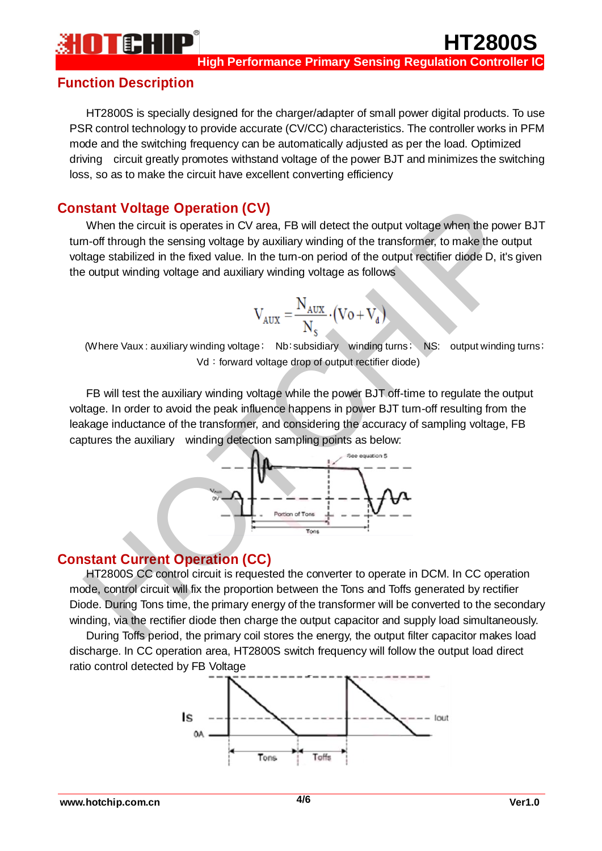

**HT2800S**

#### **Function Description**

**FEH** 

HT2800S is specially designed for the charger/adapter of small power digital products. To use PSR control technology to provide accurate (CV/CC) characteristics. The controller works in PFM mode and the switching frequency can be automatically adjusted as per the load. Optimized driving circuit greatly promotes withstand voltage of the power BJT and minimizes the switching loss, so as to make the circuit have excellent converting efficiency

### **Constant Voltage Operation (CV)**

When the circuit is operates in CV area, FB will detect the output voltage when the power BJT turn-off through the sensing voltage by auxiliary winding of the transformer, to make the output voltage stabilized in the fixed value. In the turn-on period of the output rectifier diode D, it's given the output winding voltage and auxiliary winding voltage as follows

$$
V_{AUX} = \frac{N_{AUX}}{N_s} \cdot (V_0 + V_a)
$$

(Where Vaux : auxiliary winding voltage; Nb:subsidiary winding turns; NS: output winding turns; Vd: forward voltage drop of output rectifier diode)

FB will test the auxiliary winding voltage while the power BJT off-time to regulate the output voltage. In order to avoid the peak influence happens in power BJT turn-off resulting from the leakage inductance of the transformer, and considering the accuracy of sampling voltage, FB captures the auxiliary winding detection sampling points as below:



#### **Constant Current Operation (CC)**

HT2800S CC control circuit is requested the converter to operate in DCM. In CC operation mode, control circuit will fix the proportion between the Tons and Toffs generated by rectifier Diode. During Tons time, the primary energy of the transformer will be converted to the secondary winding, via the rectifier diode then charge the output capacitor and supply load simultaneously. **Stant Voltage Operation (CV)**<br>
When the circuit is operates in CV area, FB will detect the output voltage when the power-<br>
off through the sensing voltage by auxiliary winding of the transformer, to make the output<br>
that

During Toffs period, the primary coil stores the energy, the output filter capacitor makes load discharge. In CC operation area, HT2800S switch frequency will follow the output load direct ratio control detected by FB Voltage

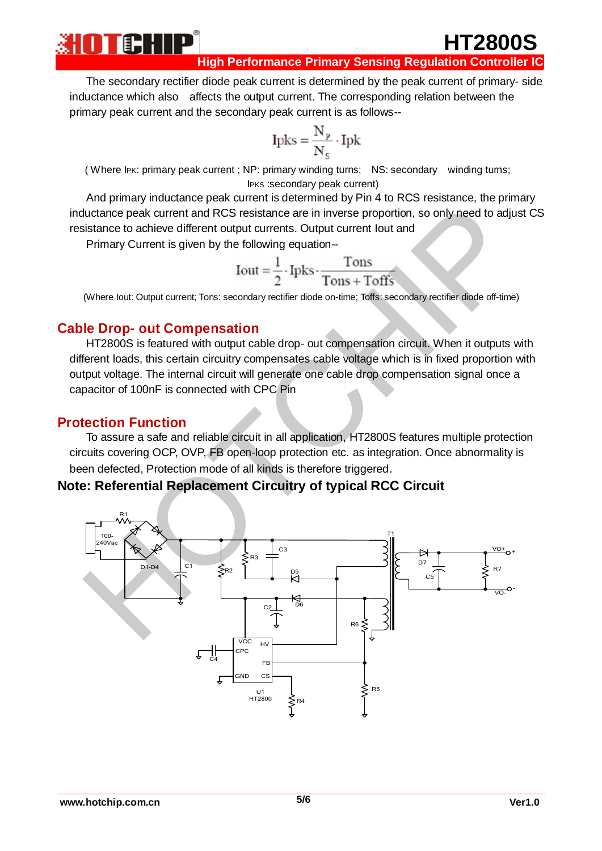**High Performance Primary Sensing Regulation Controller IC**

**HT2800S**

The secondary rectifier diode peak current is determined by the peak current of primary- side inductance which also affects the output current. The corresponding relation between the primary peak current and the secondary peak current is as follows--

$$
I p k s = \frac{N_p}{N_s} \cdot I p k
$$

( Where IPK: primary peak current ; NP: primary winding turns; NS: secondary winding turns; IPKS :secondary peak current)

And primary inductance peak current is determined by Pin 4 to RCS resistance, the primary inductance peak current and RCS resistance are in inverse proportion, so only need to adjust CS resistance to achieve different output currents. Output current Iout and

Primary Current is given by the following equation--

$$
Iout = \frac{1}{2} \cdot Ipks \cdot \frac{Tons}{Tons + Toffs}
$$

(Where Iout: Output current; Tons: secondary rectifier diode on-time; Toffs: secondary rectifier diode off-time)

#### **Cable Drop- out Compensation**

HT2800S is featured with output cable drop- out compensation circuit. When it outputs with different loads, this certain circuitry compensates cable voltage which is in fixed proportion with output voltage. The internal circuit will generate one cable drop compensation signal once a capacitor of 100nF is connected with CPC Pin

#### **Protection Function**

**TEN** 

To assure a safe and reliable circuit in all application, HT2800S features multiple protection circuits covering OCP, OVP, FB open-loop protection etc. as integration. Once abnormality is been defected, Protection mode of all kinds is therefore triggered.

#### **Note: Referential Replacement Circuitry of typical RCC Circuit**